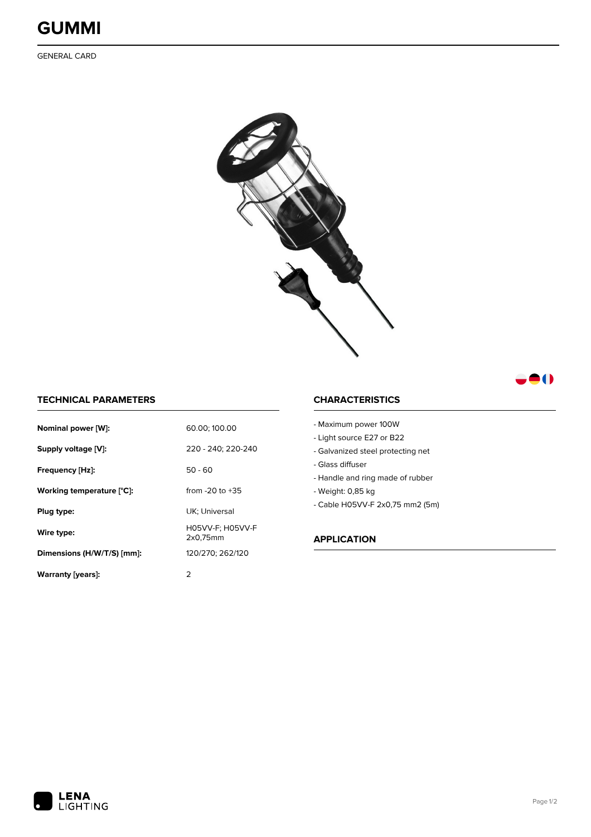

GENERAL CARD



## **TECHNICAL PARAMETERS**

| Nominal power [W]:         | 60.00; 100.00                |
|----------------------------|------------------------------|
| Supply voltage [V]:        | 220 - 240; 220-240           |
| Frequency [Hz]:            | $50 - 60$                    |
| Working temperature [°C]:  | from $-20$ to $+35$          |
| Plug type:                 | UK: Universal                |
| Wire type:                 | H05VV-F: H05VV-F<br>2x0.75mm |
| Dimensions (H/W/T/S) [mm]: | 120/270; 262/120             |
| Warranty (years):          | 2                            |

## **CHARACTERISTICS**

| - Maximum power 100W              |
|-----------------------------------|
| - Light source E27 or B22         |
| - Galvanized steel protecting net |
| - Glass diffuser                  |
| - Handle and ring made of rubber  |
| - Weight: 0,85 kg                 |
| - Cable H05VV-F 2x0,75 mm2 (5m)   |
|                                   |
|                                   |
| APPLICATION                       |
|                                   |
|                                   |